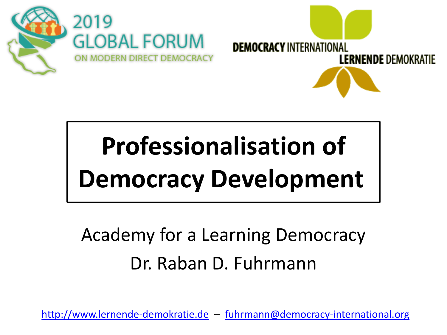



# **Professionalisation of Democracy Development**

## Academy for a Learning Democracy Dr. Raban D. Fuhrmann

<http://www.lernende-demokratie.de> – [fuhrmann@democracy-international.org](mailto:fuhrmann@democracy-international.org)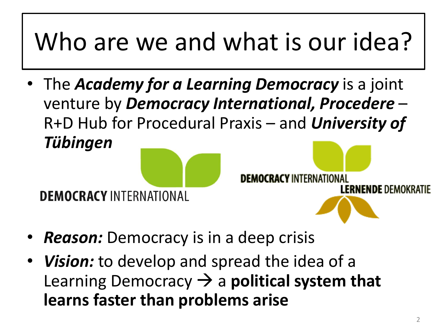# Who are we and what is our idea?

• The *Academy for a Learning Democracy* is a joint venture by *Democracy International, Procedere* – R+D Hub for Procedural Praxis – and *University of Tübingen*



- *Reason:* Democracy is in a deep crisis
- *Vision:* to develop and spread the idea of a Learning Democracy → a **political system that learns faster than problems arise**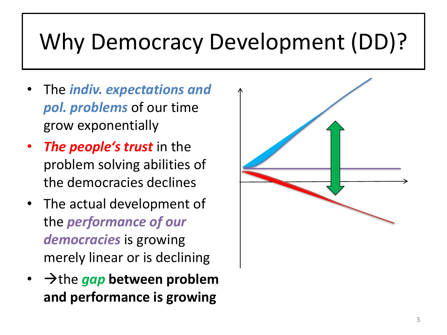## Why Democracy Development (DD)?

- The *indiv. expectations and pol. problems* of our time grow exponentially
- *The people's trust* in the problem solving abilities of the democracies declines
- The actual development of the *performance of our democracies* is growing merely linear or is declining
- →the *gap* **between problem and performance is growing**

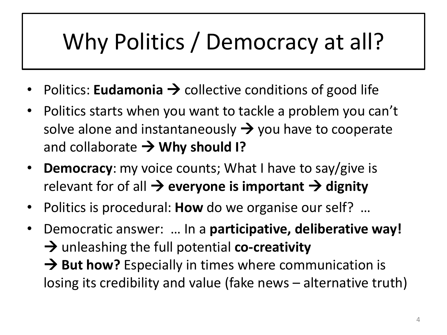## Why Politics / Democracy at all?

- Politics: **Eudamonia**  $\rightarrow$  collective conditions of good life
- Politics starts when you want to tackle a problem you can't solve alone and instantaneously  $\rightarrow$  you have to cooperate and collaborate → **Why should I?**
- **Democracy**: my voice counts; What I have to say/give is relevant for of all  $\rightarrow$  **everyone is important**  $\rightarrow$  **dignity**
- Politics is procedural: **How** do we organise our self? …
- Democratic answer: … In a **participative, deliberative way!**  → unleashing the full potential **co-creativity** → But how? Especially in times where communication is losing its credibility and value (fake news – alternative truth)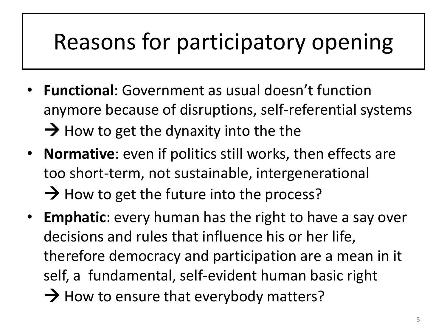## Reasons for participatory opening

- **Functional**: Government as usual doesn't function anymore because of disruptions, self-referential systems  $\rightarrow$  How to get the dynaxity into the the
- **Normative**: even if politics still works, then effects are too short-term, not sustainable, intergenerational  $\rightarrow$  How to get the future into the process?
- **Emphatic**: every human has the right to have a say over decisions and rules that influence his or her life, therefore democracy and participation are a mean in it self, a fundamental, self-evident human basic right  $\rightarrow$  How to ensure that everybody matters?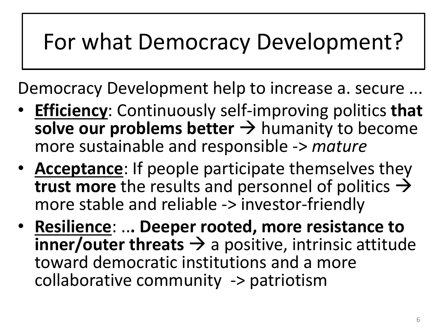## For what Democracy Development?

Democracy Development help to increase a. secure ...

- **Efficiency**: Continuously self-improving politics **that**  solve our problems better → humanity to become more sustainable and responsible -> *mature*
- **Acceptance**: If people participate themselves they **trust more** the results and personnel of politics  $\rightarrow$ more stable and reliable -> investor-friendly
- **Resilience**: ..**. Deeper rooted, more resistance to inner/outer threats**  $\rightarrow$  a positive, intrinsic attitude toward democratic institutions and a more collaborative community -> patriotism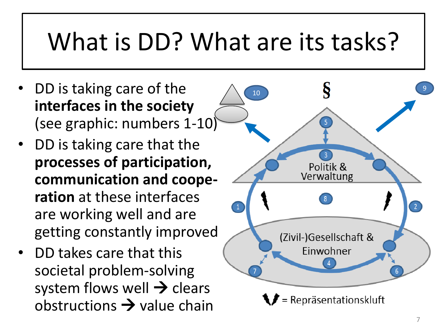## What is DD? What are its tasks?

- DD is taking care of the **interfaces in the society** (see graphic: numbers 1-10)
- DD is taking care that the **processes of participation, communication and cooperation** at these interfaces are working well and are getting constantly improved
- DD takes care that this societal problem-solving system flows well  $\rightarrow$  clears obstructions  $\rightarrow$  value chain

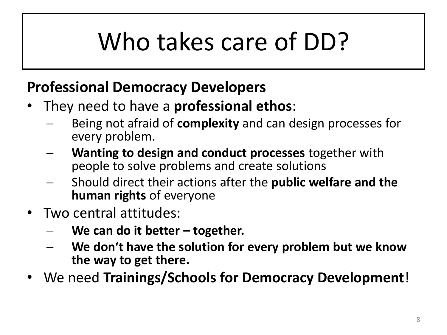# Who takes care of DD?

#### **Professional Democracy Developers**

- They need to have a **professional ethos**:
	- − Being not afraid of **complexity** and can design processes for every problem.
	- **Wanting to design and conduct processes** together with people to solve problems and create solutions
	- − Should direct their actions after the **public welfare and the human rights** of everyone
- Two central attitudes:
	- − **We can do it better – together.**
	- We don't have the solution for every problem but we know **the way to get there.**
- We need **Trainings/Schools for Democracy Development**!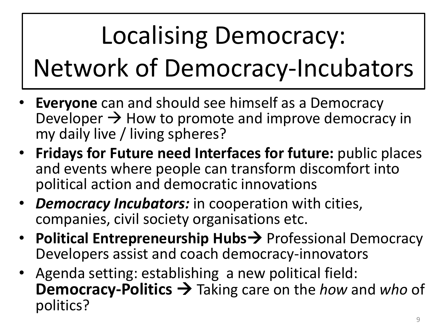# Localising Democracy: Network of Democracy-Incubators

- **Everyone** can and should see himself as a Democracy Developer  $\rightarrow$  How to promote and improve democracy in my daily live / living spheres?
- **Fridays for Future need Interfaces for future:** public places and events where people can transform discomfort into political action and democratic innovations
- *Democracy Incubators:* in cooperation with cities, companies, civil society organisations etc.
- **Political Entrepreneurship Hubs→** Professional Democracy Developers assist and coach democracy-innovators
- Agenda setting: establishing a new political field: **Democracy-Politics** → Taking care on the *how* and *who* of politics?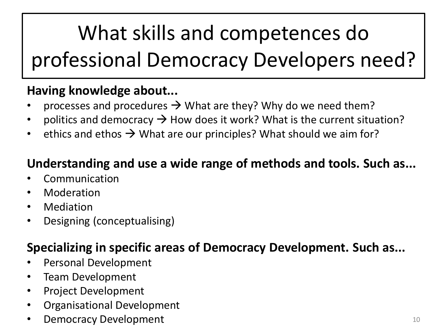## What skills and competences do professional Democracy Developers need?

#### **Having knowledge about...**

- processes and procedures  $\rightarrow$  What are they? Why do we need them?
- politics and democracy  $\rightarrow$  How does it work? What is the current situation?
- ethics and ethos  $\rightarrow$  What are our principles? What should we aim for?

#### **Understanding and use a wide range of methods and tools. Such as...**

- Communication
- **Moderation**
- **Mediation**
- Designing (conceptualising)

#### **Specializing in specific areas of Democracy Development. Such as...**

- Personal Development
- Team Development
- Project Development
- Organisational Development
- **Democracy Development** 10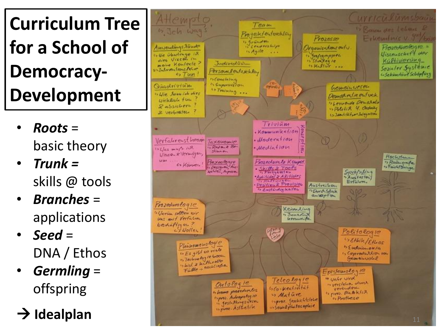## **Curriculum Tree for a School of Democracy - Development**

- *Roots* = basic theory
- *Trunk =*  skills @ tools
- *Branches* = applications
- *Seed* = DNA / Ethos
- *Germling* = offspring
- 

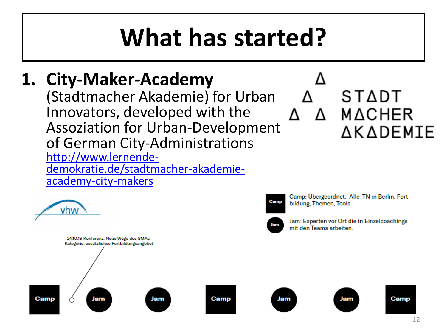## **What has started?**

### **1. City-Maker-Academy**

(Stadtmacher Akademie) for Urban Innovators, developed with the Assoziation for Urban-Development of German City-Administrations http://www.lernende[demokratie.de/stadtmacher-akademie](http://www.lernende-demokratie.de/stadtmacher-akademie-academy-city-makers)academy-city-makers



### STADT Δ MΔCHER ΔΚΔDΕΜΙΕ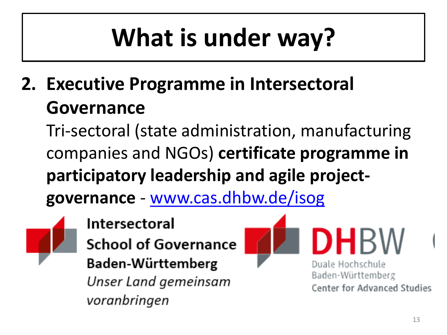# **What is under way?**

**2. Executive Programme in Intersectoral Governance** 

Tri-sectoral (state administration, manufacturing companies and NGOs) **certificate programme in participatory leadership and agile project-**

**governance** - [www.cas.dhbw.de/isog](http://www.cas.dhbw.de/wissenschaftliche-weiterbildung)



**Intersectoral School of Governance** Baden-Württemberg Unser Land gemeinsam voranbringen



Duale Hochschule Baden-Württemberg **Center for Advanced Studies** 

HBW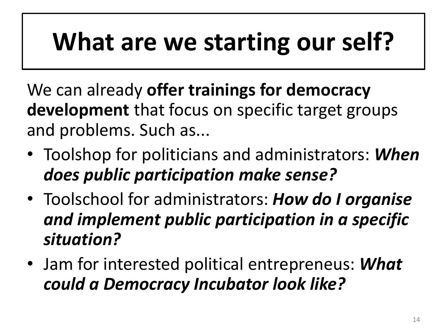# **What are we starting our self?**

We can already **offer trainings for democracy development** that focus on specific target groups and problems. Such as...

- Toolshop for politicians and administrators: *When does public participation make sense?*
- Toolschool for administrators: *How do I organise and implement public participation in a specific situation?*
- Jam for interested political entrepreneus: *What could a Democracy Incubator look like?*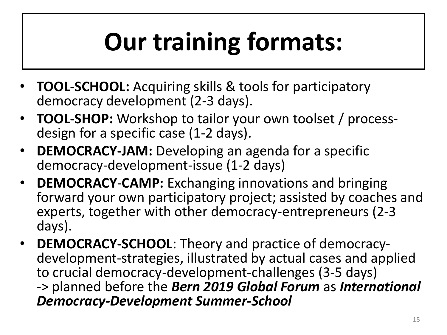# **Our training formats:**

- **TOOL-SCHOOL:** Acquiring skills & tools for participatory democracy development (2-3 days).
- **TOOL-SHOP:** Workshop to tailor your own toolset / processdesign for a specific case (1-2 days).
- **DEMOCRACY-JAM:** Developing an agenda for a specific democracy-development-issue (1-2 days)
- **DEMOCRACY**-**CAMP:** Exchanging innovations and bringing forward your own participatory project; assisted by coaches and experts, together with other democracy-entrepreneurs (2-3 days).
- **DEMOCRACY-SCHOOL**: Theory and practice of democracydevelopment-strategies, illustrated by actual cases and applied to crucial democracy-development-challenges (3-5 days) -> planned before the *Bern 2019 Global Forum* as *International Democracy-Development Summer-School*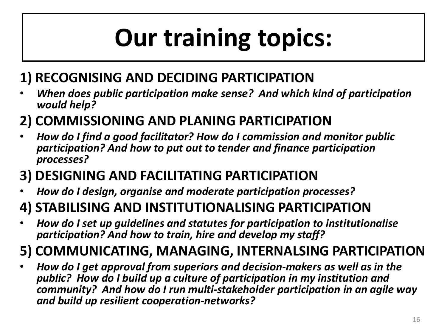# **Our training topics:**

#### **1) RECOGNISING AND DECIDING PARTICIPATION**

• *When does public participation make sense? And which kind of participation would help?*

#### **2) COMMISSIONING AND PLANING PARTICIPATION**

• *How do I find a good facilitator? How do I commission and monitor public participation? And how to put out to tender and finance participation processes?*

#### **3) DESIGNING AND FACILITATING PARTICIPATION**

• *How do I design, organise and moderate participation processes?*

#### **4) STABILISING AND INSTITUTIONALISING PARTICIPATION**

• *How do I set up guidelines and statutes for participation to institutionalise participation? And how to train, hire and develop my staff?*

#### **5) COMMUNICATING, MANAGING, INTERNALSING PARTICIPATION**

• *How do I get approval from superiors and decision-makers as well as in the public? How do I build up a culture of participation in my institution and community? And how do I run multi-stakeholder participation in an agile way and build up resilient cooperation-networks?*